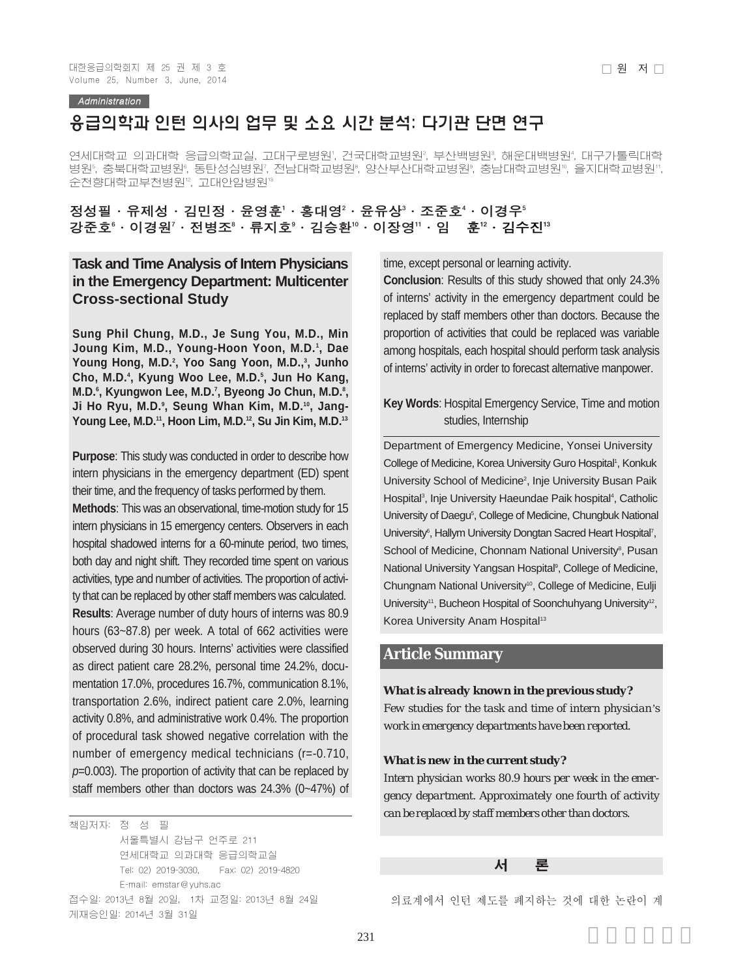Administration

# 응급의학과 인턴 의사의 업무 및 소요 시간 분석: 다기관 단면 연구

연세대학교 의과대학 응급의학교실, 고대구로병원', 건국대학교병원', 부산백병원', 해운대백병원', 대구가톨릭대학 병원°, 충북대학교병원°, 동탄성심병원′, 전남대학교병원°, 양산부산대학교병원°, 충남대학교병원º, 을지대학교병원'', 순천향대학교부천병원12, 고대안암병원13

정성필•유제성•김민정•윤영훈'∙홍대영 $^{\scriptscriptstyle 2}$ •윤유상 $^{\scriptscriptstyle 3}$ •조준호 $^{\scriptscriptstyle 4}$ •이경우 $^{\scriptscriptstyle 5}$ 강준호 $^6$ ㆍ이경원 $^7$ ㆍ전병조 $^6$ ㆍ류지호 $^9$ ㆍ김승환 $^9$ ㆍ이장영 $^1$ ㆍ임 훈 $^2$ ㆍ김수진 $^{13}$ 

# **Task and Time Analysis of Intern Physicians in the Emergency Department: Multicenter Cross-sectional Study**

**Sung Phil Chung, M.D., Je Sung You, M.D., Min Joung Kim, M.D., Young-Hoon Yoon, M.D.1 , Dae** Young Hong, M.D.<sup>2</sup>, Yoo Sang Yoon, M.D.,<sup>3</sup>, Junho **Cho, M.D.4 , Kyung Woo Lee, M.D.5 , Jun Ho Kang,** M.D.˚, Kyungwon Lee, M.D.<sup>٬</sup>, Byeong Jo Chun, M.D.<sup>៵</sup>, **Ji Ho Ryu, M.D.9 , Seung Whan Kim, M.D.10, Jang-**Young Lee, M.D.<sup>11</sup>, Hoon Lim, M.D.<sup>12</sup>, Su Jin Kim, M.D.<sup>13</sup>

**Purpose**: This study was conducted in order to describe how intern physicians in the emergency department (ED) spent their time, and the frequency of tasks performed by them.

**Methods**: This was an observational, time-motion study for 15 intern physicians in 15 emergency centers. Observers in each hospital shadowed interns for a 60-minute period, two times, both day and night shift. They recorded time spent on various activities, type and number of activities. The proportion of activity that can be replaced by other staff members was calculated. **Results**: Average number of duty hours of interns was 80.9 hours (63~87.8) per week. A total of 662 activities were observed during 30 hours. Interns' activities were classified as direct patient care 28.2%, personal time 24.2%, documentation 17.0%, procedures 16.7%, communication 8.1%, transportation 2.6%, indirect patient care 2.0%, learning activity 0.8%, and administrative work 0.4%. The proportion of procedural task showed negative correlation with the number of emergency medical technicians (r=-0.710, *p*=0.003). The proportion of activity that can be replaced by staff members other than doctors was 24.3% (0~47%) of

책임저자: 정 성 필 서울특별시 강남구 언주로 211 연세대학교 의과대학 응급의학교실 Tel: 02) 2019-3030, Fax: 02) 2019-4820 E-mail: emstar@yuhs.ac 접수일: 2013년 8월 20일, 1차 교정일: 2013년 8월 24일 게재승인일: 2014년 3월 31일

time, except personal or learning activity.

**Conclusion**: Results of this study showed that only 24.3% of interns' activity in the emergency department could be replaced by staff members other than doctors. Because the proportion of activities that could be replaced was variable among hospitals, each hospital should perform task analysis of interns' activity in order to forecast alternative manpower.

### **Key Words**: Hospital Emergency Service, Time and motion studies, Internship

Department of Emergency Medicine, Yonsei University College of Medicine, Korea University Guro Hospital<sup>1</sup>, Konkuk University School of Medicine<sup>2</sup>, Inje University Busan Paik Hospital<sup>3</sup>, Inje University Haeundae Paik hospital<sup>4</sup>, Catholic University of Daegu<sup>5</sup>, College of Medicine, Chungbuk National University<sup>6</sup>, Hallym University Dongtan Sacred Heart Hospital7, School of Medicine, Chonnam National University<sup>8</sup>, Pusan National University Yangsan Hospital<sup>9</sup>, College of Medicine, Chungnam National University<sup>10</sup>, College of Medicine, Eulji University<sup>11</sup>, Bucheon Hospital of Soonchuhyang University<sup>12</sup>, Korea University Anam Hospital<sup>13</sup>

## **Article Summary**

#### *What is already known in the previous study?*

*Few studies for the task and time of intern physician's work in emergency departments have been reported.*

#### *What is new in the current study?*

*Intern physician works 80.9 hours per week in the emergency department. Approximately one fourth of activity can be replaced by staff members other than doctors.*

#### 서 론

의료계에서 인턴 제도를 폐지하는 것에 대한 논란이 계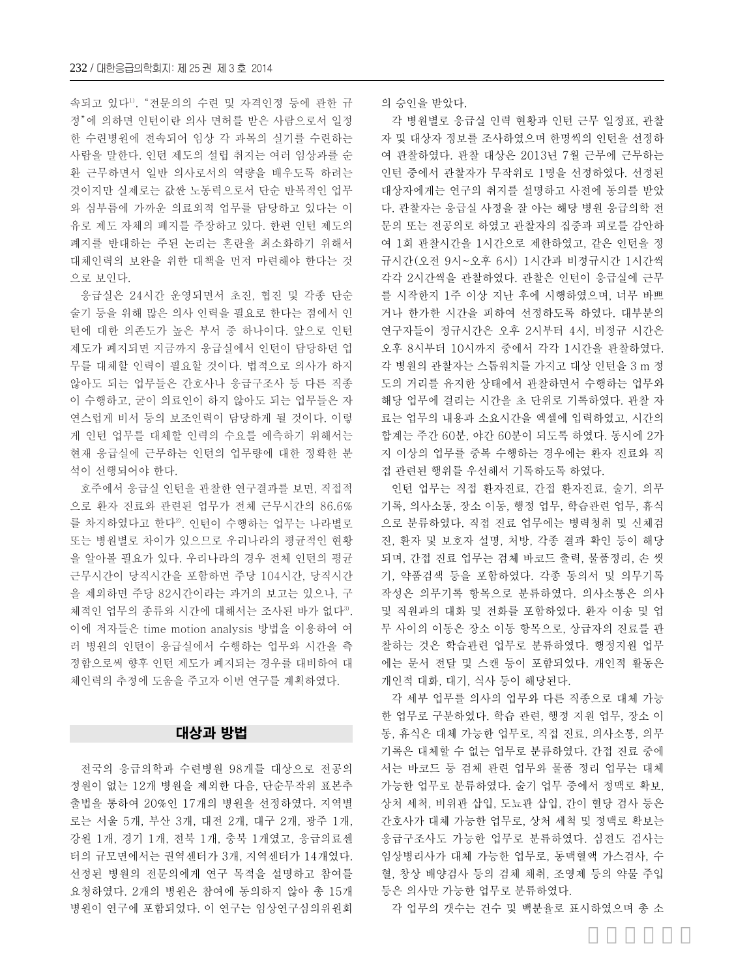속되고 있다1). "전문의의 수련 및 자격인정 등에 관한 규 정"에 의하면 인턴이란 의사 면허를 받은 사람으로서 일정 한 수련병원에 전속되어 임상 각 과목의 실기를 수련하는 사람을 말한다. 인턴 제도의 설립 취지는 여러 임상과를 순 환 근무하면서 일반 의사로서의 역량을 배우도록 하려는 것이지만 실제로는 값싼 노동력으로서 단순 반복적인 업무 와 심부름에 가까운 의료외적 업무를 담당하고 있다는 이 유로 제도 자체의 폐지를 주장하고 있다. 한편 인턴 제도의 폐지를 반대하는 주된 논리는 혼란을 최소화하기 위해서 대체인력의 보완을 위한 대책을 먼저 마련해야 한다는 것 으로 보인다.

응급실은 24시간 운영되면서 초진, 협진 및 각종 단순 술기 등을 위해 많은 의사 인력을 필요로 한다는 점에서 인 턴에 대한 의존도가 높은 부서 중 하나이다. 앞으로 인턴 제도가 폐지되면 지금까지 응급실에서 인턴이 담당하던 업 무를 대체할 인력이 필요할 것이다. 법적으로 의사가 하지 않아도 되는 업무들은 간호사나 응급구조사 등 다른 직종 이 수행하고, 굳이 의료인이 하지 않아도 되는 업무들은 자 연스럽게 비서 등의 보조인력이 담당하게 될 것이다. 이렇 게 인턴 업무를 대체할 인력의 수요를 예측하기 위해서는 현재 응급실에 근무하는 인턴의 업무량에 대한 정확한 분 석이 선행되어야 한다.

호주에서 응급실 인턴을 관찰한 연구결과를 보면, 직접적 으로 환자 진료와 관련된 업무가 전체 근무시간의 86.6% 를 차지하였다고 한다2). 인턴이 수행하는 업무는 나라별로 또는 병원별로 차이가 있으므로 우리나라의 평균적인 현황 을 알아볼 필요가 있다. 우리나라의 경우 전체 인턴의 평균 근무시간이 당직시간을 포함하면 주당 104시간, 당직시간 을 제외하면 주당 82시간이라는 과거의 보고는 있으나, 구 체적인 업무의 종류와 시간에 대해서는 조사된 바가 없다3). 이에 저자들은 time motion analysis 방법을 이용하여 여 러 병원의 인턴이 응급실에서 수행하는 업무와 시간을 측 정함으로써 향후 인턴 제도가 폐지되는 경우를 대비하여 대 체인력의 추정에 도움을 주고자 이번 연구를 계획하였다.

#### 대상과 방법

전국의 응급의학과 수련병원 98개를 대상으로 전공의 정원이 없는 12개 병원을 제외한 다음, 단순무작위 표본추 출법을 통하여 20%인 17개의 병원을 선정하였다. 지역별 로는 서울 5개, 부산 3개, 대전 2개, 대구 2개, 광주 1개, 강원 1개, 경기 1개, 전북 1개, 충북 1개였고, 응급의료센 터의 규모면에서는 권역센터가 3개, 지역센터가 14개였다. 선정된 병원의 전문의에게 연구 목적을 설명하고 참여를 요청하였다. 2개의 병원은 참여에 동의하지 않아 총 15개 병원이 연구에 포함되었다. 이 연구는 임상연구심의위원회 의 승인을 받았다.

각 병원별로 응급실 인력 현황과 인턴 근무 일정표, 관찰 자 및 대상자 정보를 조사하였으며 한명씩의 인턴을 선정하 여 관찰하였다. 관찰 대상은 2013년 7월 근무에 근무하는 인턴 중에서 관찰자가 무작위로 1명을 선정하였다. 선정된 대상자에게는 연구의 취지를 설명하고 사전에 동의를 받았 다. 관찰자는 응급실 사정을 잘 아는 해당 병원 응급의학 전 문의 또는 전공의로 하였고 관찰자의 집중과 피로를 감안하 여 1회 관찰시간을 1시간으로 제한하였고, 같은 인턴을 정 규시간(오전 9시~오후 6시) 1시간과 비정규시간 1시간씩 각각 2시간씩을 관찰하였다. 관찰은 인턴이 응급실에 근무 를 시작한지 1주 이상 지난 후에 시행하였으며, 너무 바쁘 거나 한가한 시간을 피하여 선정하도록 하였다. 대부분의 연구자들이 정규시간은 오후 2시부터 4시, 비정규 시간은 오후 8시부터 10시까지 중에서 각각 1시간을 관찰하였다. 각 병원의 관찰자는 스톱워치를 가지고 대상 인턴을 3 m 정 도의 거리를 유지한 상태에서 관찰하면서 수행하는 업무와 해당 업무에 걸리는 시간을 초 단위로 기록하였다. 관찰 자 료는 업무의 내용과 소요시간을 엑셀에 입력하였고, 시간의 합계는 주간 60분, 야간 60분이 되도록 하였다. 동시에 2가 지 이상의 업무를 중복 수행하는 경우에는 환자 진료와 직 접 관련된 행위를 우선해서 기록하도록 하였다.

인턴 업무는 직접 환자진료, 간접 환자진료, 술기, 의무 기록, 의사소통, 장소 이동, 행정 업무, 학습관련 업무, 휴식 으로 분류하였다. 직접 진료 업무에는 병력청취 및 신체검 진, 환자 및 보호자 설명, 처방, 각종 결과 확인 등이 해당 되며, 간접 진료 업무는 검체 바코드 출력, 물품정리, 손 씻 기, 약품검색 등을 포함하였다. 각종 동의서 및 의무기록 작성은 의무기록 항목으로 분류하였다. 의사소통은 의사 및 직원과의 대화 및 전화를 포함하였다. 환자 이송 및 업 무 사이의 이동은 장소 이동 항목으로, 상급자의 진료를 관 찰하는 것은 학습관련 업무로 분류하였다. 행정지원 업무 에는 문서 전달 및 스캔 등이 포함되었다. 개인적 활동은 개인적 대화, 대기, 식사 등이 해당된다.

각 세부 업무를 의사의 업무와 다른 직종으로 대체 가능 한 업무로 구분하였다. 학습 관련, 행정 지원 업무, 장소 이 동, 휴식은 대체 가능한 업무로, 직접 진료, 의사소통, 의무 기록은 대체할 수 없는 업무로 분류하였다. 간접 진료 중에 서는 바코드 등 검체 관련 업무와 물품 정리 업무는 대체 가능한 업무로 분류하였다. 술기 업무 중에서 정맥로 확보, 상처 세척, 비위관 삽입, 도뇨관 삽입, 간이 혈당 검사 등은 간호사가 대체 가능한 업무로, 상처 세척 및 정맥로 확보는 응급구조사도 가능한 업무로 분류하였다. 심전도 검사는 임상병리사가 대체 가능한 업무로, 동맥혈액 가스검사, 수 혈, 창상 배양검사 등의 검체 채취, 조영제 등의 약물 주입 등은 의사만 가능한 업무로 분류하였다.

각 업무의 갯수는 건수 및 백분율로 표시하였으며 총 소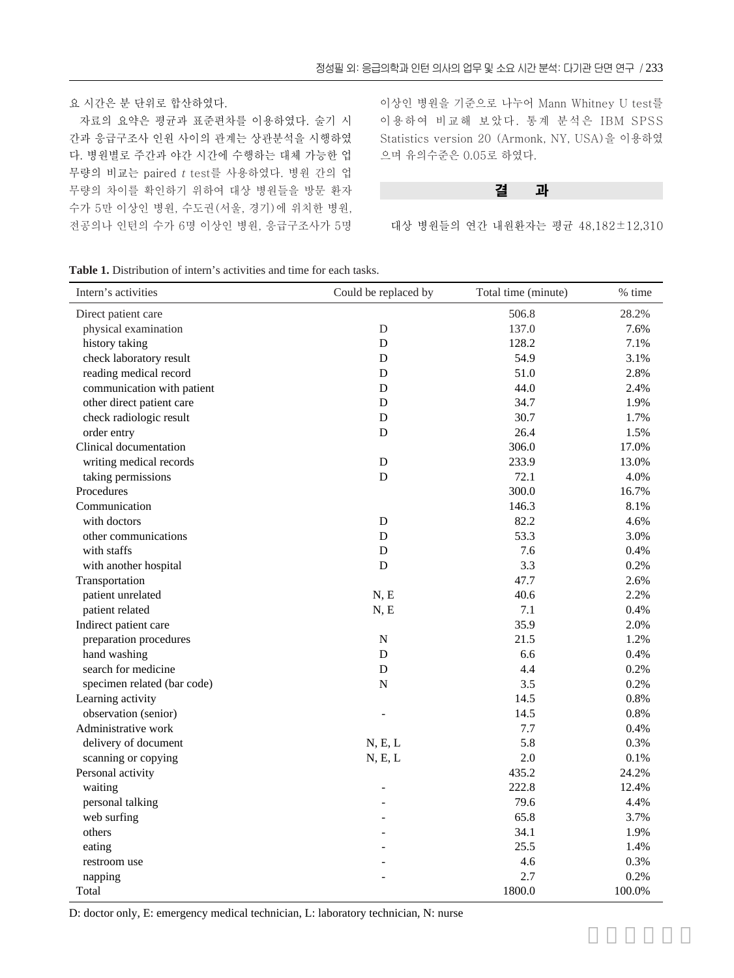요 시간은 분 단위로 합산하였다.

자료의 요약은 평균과 표준편차를 이용하였다. 술기 시 간과 응급구조사 인원 사이의 관계는 상관분석을 시행하였 다. 병원별로 주간과 야간 시간에 수행하는 대체 가능한 업 무량의 비교는 paired <sup>t</sup> test를 사용하였다. 병원 간의 업 무량의 차이를 확인하기 위하여 대상 병원들을 방문 환자 수가 5만 이상인 병원, 수도권(서울, 경기)에 위치한 병원, 전공의나 인턴의 수가 6명 이상인 병원, 응급구조사가 5명

이상인 병원을 기준으로 나누어 Mann Whitney U test를 이용하여 비교해 보았다. 통계 분석은 IBM SPSS Statistics version 20 (Armonk, NY, USA)을 이용하였 으며 유의수준은 0.05로 하였다.

결 과

대상 병원들의 연간 내원환자는 평균 48,182±12,310

**Table 1.** Distribution of intern's activities and time for each tasks.

| Intern's activities         | Could be replaced by | Total time (minute) | % time |
|-----------------------------|----------------------|---------------------|--------|
| Direct patient care         |                      | 506.8               | 28.2%  |
| physical examination        | D                    | 137.0               | 7.6%   |
| history taking              | D                    | 128.2               | 7.1%   |
| check laboratory result     | D                    | 54.9                | 3.1%   |
| reading medical record      | D                    | 51.0                | 2.8%   |
| communication with patient  | D                    | 44.0                | 2.4%   |
| other direct patient care   | D                    | 34.7                | 1.9%   |
| check radiologic result     | D                    | 30.7                | 1.7%   |
| order entry                 | D                    | 26.4                | 1.5%   |
| Clinical documentation      |                      | 306.0               | 17.0%  |
| writing medical records     | ${\bf D}$            | 233.9               | 13.0%  |
| taking permissions          | D                    | 72.1                | 4.0%   |
| Procedures                  |                      | 300.0               | 16.7%  |
| Communication               |                      | 146.3               | 8.1%   |
| with doctors                | D                    | 82.2                | 4.6%   |
| other communications        | D                    | 53.3                | 3.0%   |
| with staffs                 | D                    | 7.6                 | 0.4%   |
| with another hospital       | D                    | 3.3                 | 0.2%   |
| Transportation              |                      | 47.7                | 2.6%   |
| patient unrelated           | N, E                 | 40.6                | 2.2%   |
| patient related             | N, E                 | 7.1                 | 0.4%   |
| Indirect patient care       |                      | 35.9                | 2.0%   |
| preparation procedures      | ${\bf N}$            | 21.5                | 1.2%   |
| hand washing                | D                    | 6.6                 | 0.4%   |
| search for medicine         | D                    | 4.4                 | 0.2%   |
| specimen related (bar code) | N                    | 3.5                 | 0.2%   |
| Learning activity           |                      | 14.5                | 0.8%   |
| observation (senior)        |                      | 14.5                | 0.8%   |
| Administrative work         |                      | 7.7                 | 0.4%   |
| delivery of document        | N, E, L              | 5.8                 | 0.3%   |
| scanning or copying         | N, E, L              | $2.0\,$             | 0.1%   |
| Personal activity           |                      | 435.2               | 24.2%  |
| waiting                     | L,                   | 222.8               | 12.4%  |
| personal talking            |                      | 79.6                | 4.4%   |
| web surfing                 |                      | 65.8                | 3.7%   |
| others                      |                      | 34.1                | 1.9%   |
| eating                      |                      | 25.5                | 1.4%   |
| restroom use                |                      | 4.6                 | 0.3%   |
| napping                     |                      | 2.7                 | 0.2%   |
| Total                       |                      | 1800.0              | 100.0% |

D: doctor only, E: emergency medical technician, L: laboratory technician, N: nurse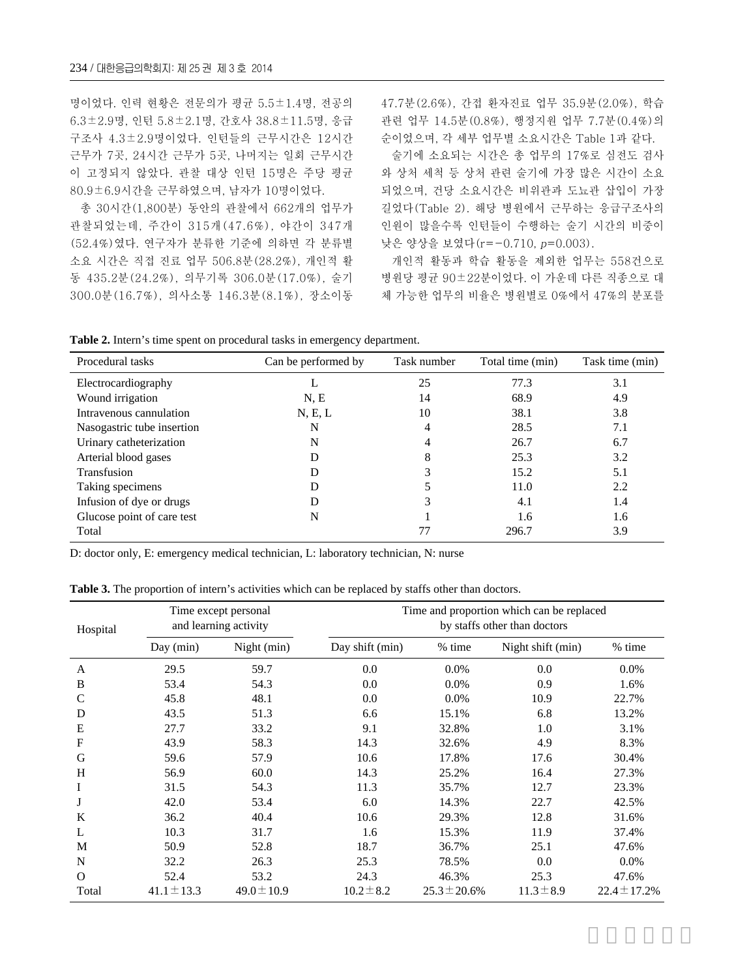명이었다. 인력 현황은 전문의가 평균 5.5±1.4명, 전공의 6.3±2.9명, 인턴 5.8±2.1명, 간호사 38.8±11.5명, 응급 구조사 4.3±2.9명이었다. 인턴들의 근무시간은 12시간 근무가 7곳, 24시간 근무가 5곳, 나머지는 일회 근무시간 이 고정되지 않았다. 관찰 대상 인턴 15명은 주당 평균 80.9±6.9시간을 근무하였으며, 남자가 10명이었다.

총 30시간(1,800분) 동안의 관찰에서 662개의 업무가 관찰되었는데, 주간이 315개(47.6%), 야간이 347개 (52.4%)였다. 연구자가 분류한 기준에 의하면 각 분류별 소요 시간은 직접 진료 업무 506.8분(28.2%), 개인적 활 동 435.2분(24.2%), 의무기록 306.0분(17.0%), 술기 300.0분(16.7%), 의사소통 146.3분(8.1%), 장소이동 47.7분(2.6%), 간접 환자진료 업무 35.9분(2.0%), 학습 관련 업무 14.5분(0.8%), 행정지원 업무 7.7분(0.4%)의 순이었으며, 각 세부 업무별 소요시간은 Table 1과 같다.

술기에 소요되는 시간은 총 업무의 17%로 심전도 검사 와 상처 세척 등 상처 관련 술기에 가장 많은 시간이 소요 되었으며, 건당 소요시간은 비위관과 도뇨관 삽입이 가장 길었다(Table 2). 해당 병원에서 근무하는 응급구조사의 인원이 많을수록 인턴들이 수행하는 술기 시간의 비중이 낮은 양상을 보였다(r=-0.710, p=0.003).

개인적 활동과 학습 활동을 제외한 업무는 558건으로 병원당 평균 90±22분이었다. 이 가운데 다른 직종으로 대 체 가능한 업무의 비율은 병원별로 0%에서 47%의 분포를

**Table 2.** Intern's time spent on procedural tasks in emergency department.

| Procedural tasks           | Can be performed by | Task number | Total time (min) | Task time (min) |
|----------------------------|---------------------|-------------|------------------|-----------------|
| Electrocardiography        | ⊥                   | 25          | 77.3             | 3.1             |
| Wound irrigation           | N, E                | 14          | 68.9             | 4.9             |
| Intravenous cannulation    | N, E, L             | 10          | 38.1             | 3.8             |
| Nasogastric tube insertion | N                   | 4           | 28.5             | 7.1             |
| Urinary catheterization    | N                   | 4           | 26.7             | 6.7             |
| Arterial blood gases       | D                   | 8           | 25.3             | 3.2             |
| Transfusion                | D                   |             | 15.2             | 5.1             |
| Taking specimens           | D                   |             | 11.0             | 2.2             |
| Infusion of dye or drugs   | D                   | 3           | 4.1              | 1.4             |
| Glucose point of care test | N                   |             | 1.6              | 1.6             |
| Total                      |                     | 77          | 296.7            | 3.9             |

D: doctor only, E: emergency medical technician, L: laboratory technician, N: nurse

**Table 3.** The proportion of intern's activities which can be replaced by staffs other than doctors.

| Hospital      | Time except personal<br>and learning activity |                 | Time and proportion which can be replaced<br>by staffs other than doctors |                   |                   |                  |
|---------------|-----------------------------------------------|-----------------|---------------------------------------------------------------------------|-------------------|-------------------|------------------|
|               | Day (min)                                     | Night (min)     | Day shift (min)                                                           | % time            | Night shift (min) | % time           |
| A             | 29.5                                          | 59.7            | 0.0                                                                       | 0.0%              | 0.0               | $0.0\%$          |
| B             | 53.4                                          | 54.3            | 0.0                                                                       | $0.0\%$           | 0.9               | 1.6%             |
| $\mathcal{C}$ | 45.8                                          | 48.1            | 0.0                                                                       | 0.0%              | 10.9              | 22.7%            |
| D             | 43.5                                          | 51.3            | 6.6                                                                       | 15.1%             | 6.8               | 13.2%            |
| Ε             | 27.7                                          | 33.2            | 9.1                                                                       | 32.8%             | 1.0               | 3.1%             |
| F             | 43.9                                          | 58.3            | 14.3                                                                      | 32.6%             | 4.9               | 8.3%             |
| G             | 59.6                                          | 57.9            | 10.6                                                                      | 17.8%             | 17.6              | 30.4%            |
| H             | 56.9                                          | 60.0            | 14.3                                                                      | 25.2%             | 16.4              | 27.3%            |
| I             | 31.5                                          | 54.3            | 11.3                                                                      | 35.7%             | 12.7              | 23.3%            |
| J             | 42.0                                          | 53.4            | 6.0                                                                       | 14.3%             | 22.7              | 42.5%            |
| K             | 36.2                                          | 40.4            | 10.6                                                                      | 29.3%             | 12.8              | 31.6%            |
| L             | 10.3                                          | 31.7            | 1.6                                                                       | 15.3%             | 11.9              | 37.4%            |
| M             | 50.9                                          | 52.8            | 18.7                                                                      | 36.7%             | 25.1              | 47.6%            |
| N             | 32.2                                          | 26.3            | 25.3                                                                      | 78.5%             | 0.0               | $0.0\%$          |
| $\Omega$      | 52.4                                          | 53.2            | 24.3                                                                      | 46.3%             | 25.3              | 47.6%            |
| Total         | $41.1 \pm 13.3$                               | $49.0 \pm 10.9$ | $10.2 \pm 8.2$                                                            | $25.3 \pm 20.6\%$ | $11.3 \pm 8.9$    | $22.4 \pm 17.2%$ |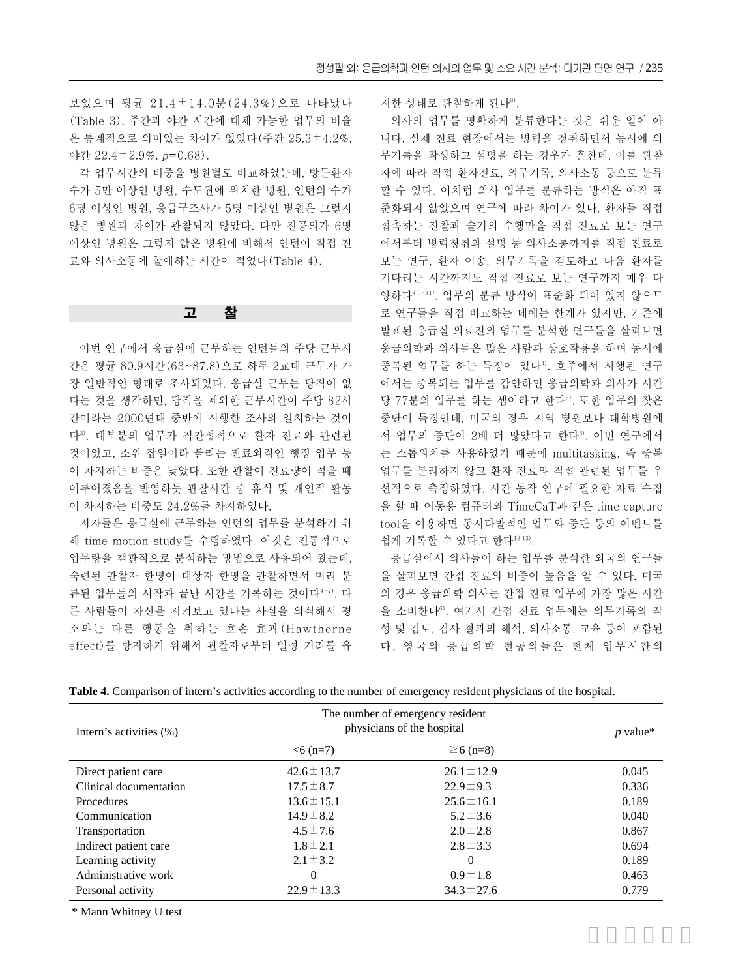보였으며 평균 21.4±14.0분(24.3%)으로 나타났다 (Table 3). 주간과 야간 시간에 대체 가능한 업무의 비율 은 통계적으로 의미있는 차이가 없었다(주간 25.3±4.2%, 야간 22.4±2.9%, p=0.68).

각 업무시간의 비중을 병원별로 비교하였는데, 방문환자 수가 5만 이상인 병원, 수도권에 위치한 병원, 인턴의 수가 6명 이상인 병원, 응급구조사가 5명 이상인 병원은 그렇지 않은 병원과 차이가 관찰되지 않았다. 다만 전공의가 6명 이상인 병원은 그렇지 않은 병원에 비해서 인턴이 직접 진 료와 의사소통에 할애하는 시간이 적었다(Table 4).

#### 고 찰

이번 연구에서 응급실에 근무하는 인턴들의 주당 근무시 간은 평균 80.9시간(63~87.8)으로 하루 2교대 근무가 가 장 일반적인 형태로 조사되었다. 응급실 근무는 당직이 없 다는 것을 생각하면, 당직을 제외한 근무시간이 주당 82시 간이라는 2000년대 중반에 시행한 조사와 일치하는 것이 다3). 대부분의 업무가 직간접적으로 환자 진료와 관련된 것이었고, 소위 잡일이라 불리는 진료외적인 행정 업무 등 이 차지하는 비중은 낮았다. 또한 관찰이 진료량이 적을 때 이루어졌음을 반영하듯 관찰시간 중 휴식 및 개인적 활동 이 차지하는 비중도 24.2%를 차지하였다.

저자들은 응급실에 근무하는 인턴의 업무를 분석하기 위 해 time motion study를 수행하였다. 이것은 전통적으로 업무량을 객관적으로 분석하는 방법으로 사용되어 왔는데, 숙련된 관찰자 한명이 대상자 한명을 관찰하면서 미리 분 류된 업무들의 시작과 끝난 시간을 기록하는 것이다4-7). 다 른 사람들이 자신을 지켜보고 있다는 사실을 의식해서 평 소와는 다른 행동을 취하는 호손 효과(Hawthorne effect)를 방지하기 위해서 관찰자로부터 일정 거리를 유 지한 상태로 관찰하게 된다8).

의사의 업무를 명확하게 분류한다는 것은 쉬운 일이 아 니다. 실제 진료 현장에서는 병력을 청취하면서 동시에 의 무기록을 작성하고 설명을 하는 경우가 흔한데, 이를 관찰 자에 따라 직접 환자진료, 의무기록, 의사소통 등으로 분류 할 수 있다. 이처럼 의사 업무를 분류하는 방식은 아직 표 준화되지 않았으며 연구에 따라 차이가 있다. 환자를 직접 접촉하는 진찰과 술기의 수행만을 직접 진료로 보는 연구 에서부터 병력청취와 설명 등 의사소통까지를 직접 진료로 보는 연구, 환자 이송, 의무기록을 검토하고 다음 환자를 기다리는 시간까지도 직접 진료로 보는 연구까지 매우 다 양하다4,9-11). 업무의 분류 방식이 표준화 되어 있지 않으므 로 연구들을 직접 비교하는 데에는 한계가 있지만, 기존에 발표된 응급실 의료진의 업무를 분석한 연구들을 살펴보면 응급의학과 의사들은 많은 사람과 상호작용을 하며 동시에 중복된 업무를 하는 특징이 있다4). 호주에서 시행된 연구 에서는 중복되는 업무를 감안하면 응급의학과 의사가 시간 당 77분의 업무를 하는 셈이라고 한다5). 또한 업무의 잦은 중단이 특징인데, 미국의 경우 지역 병원보다 대학병원에 서 업무의 중단이 2배 더 많았다고 한다<sup>6)</sup>. 이번 연구에서 는 스톱워치를 사용하였기 때문에 multitasking, 즉 중복 업무를 분리하지 않고 환자 진료와 직접 관련된 업무를 우 선적으로 측정하였다. 시간 동작 연구에 필요한 자료 수집 을 할 때 이동용 컴퓨터와 TimeCaT과 같은 time capture tool을 이용하면 동시다발적인 업무와 중단 등의 이벤트를 쉽게 기록할 수 있다고 한다<sup>12,13)</sup>.

응급실에서 의사들이 하는 업무를 분석한 외국의 연구들 을 살펴보면 간접 진료의 비중이 높음을 알 수 있다. 미국 의 경우 응급의학 의사는 간접 진료 업무에 가장 많은 시간 을 소비한다6). 여기서 간접 진료 업무에는 의무기록의 작 성 및 검토, 검사 결과의 해석, 의사소통, 교육 등이 포함된 다. 영국의 응급의학 전공의들은 전체 업무시간의

| Intern's activities (%) | The number of emergency resident<br>physicians of the hospital |                 | $p$ value* |
|-------------------------|----------------------------------------------------------------|-----------------|------------|
|                         | $< 6(n=7)$                                                     | $\geq 6$ (n=8)  |            |
| Direct patient care     | $42.6 \pm 13.7$                                                | $26.1 \pm 12.9$ | 0.045      |
| Clinical documentation  | $17.5 \pm 8.7$                                                 | $22.9 \pm 9.3$  | 0.336      |
| <b>Procedures</b>       | $13.6 \pm 15.1$                                                | $25.6 \pm 16.1$ | 0.189      |
| Communication           | $14.9 \pm 8.2$                                                 | $5.2 \pm 3.6$   | 0.040      |
| Transportation          | $4.5 \pm 7.6$                                                  | $2.0 \pm 2.8$   | 0.867      |
| Indirect patient care   | $1.8 \pm 2.1$                                                  | $2.8 \pm 3.3$   | 0.694      |
| Learning activity       | $2.1 \pm 3.2$                                                  | $\Omega$        | 0.189      |
| Administrative work     | $\Omega$                                                       | $0.9 \pm 1.8$   | 0.463      |
| Personal activity       | $22.9 \pm 13.3$                                                | $34.3 \pm 27.6$ | 0.779      |

**Table 4.** Comparison of intern's activities according to the number of emergency resident physicians of the hospital.

\* Mann Whitney U test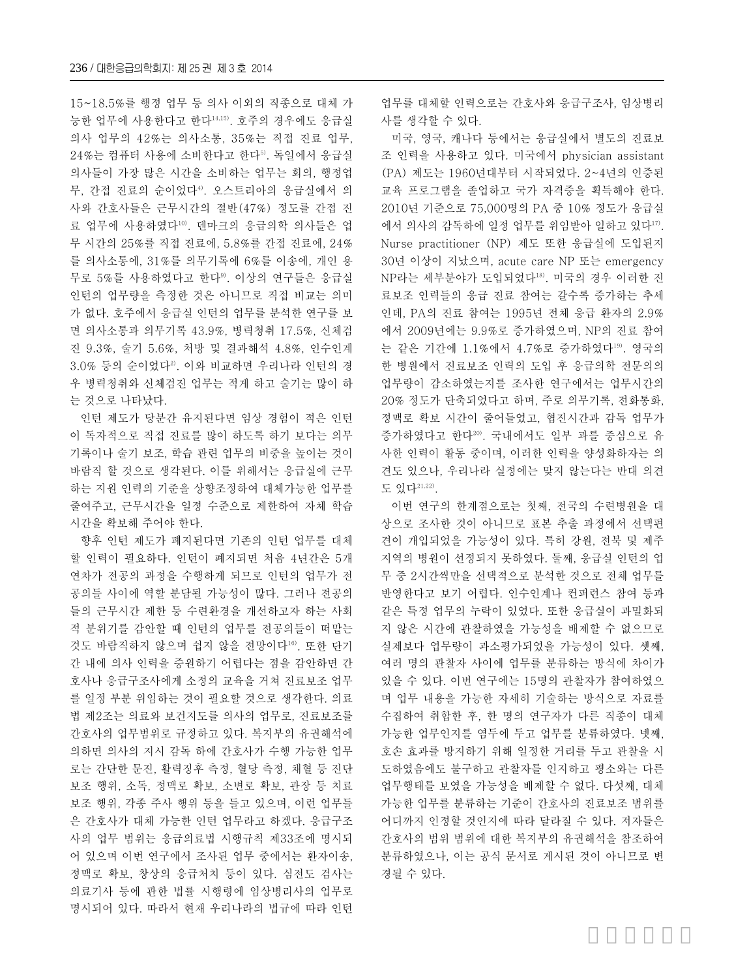15~18.5%를 행정 업무 등 의사 이외의 직종으로 대체 가 능한 업무에 사용한다고 한다14,15). 호주의 경우에도 응급실 의사 업무의 42%는 의사소통, 35%는 직접 진료 업무, 24%는 컴퓨터 사용에 소비한다고 한다5). 독일에서 응급실 의사들이 가장 많은 시간을 소비하는 업무는 회의, 행정업 무, 간접 진료의 순이었다<sup>4)</sup>. 오스트리아의 응급실에서 의 사와 간호사들은 근무시간의 절반(47%) 정도를 간접 진 료 업무에 사용하였다10). 덴마크의 응급의학 의사들은 업 무 시간의 25%를 직접 진료에, 5.8%를 간접 진료에, 24% 를 의사소통에, 31%를 의무기록에 6%를 이송에, 개인 용 무로 5%를 사용하였다고 한다9). 이상의 연구들은 응급실 인턴의 업무량을 측정한 것은 아니므로 직접 비교는 의미 가 없다. 호주에서 응급실 인턴의 업무를 분석한 연구를 보 면 의사소통과 의무기록 43.9%, 병력청취 17.5%, 신체검 진 9.3%, 술기 5.6%, 처방 및 결과해석 4.8%, 인수인계  $3.0\%$  등의 순이었다 $2$ . 이와 비교하면 우리나라 인턴의 경 우 병력청취와 신체검진 업무는 적게 하고 술기는 많이 하 는 것으로 나타났다.

인턴 제도가 당분간 유지된다면 임상 경험이 적은 인턴 이 독자적으로 직접 진료를 많이 하도록 하기 보다는 의무 기록이나 술기 보조, 학습 관련 업무의 비중을 높이는 것이 바람직 할 것으로 생각된다. 이를 위해서는 응급실에 근무 하는 지원 인력의 기준을 상향조정하여 대체가능한 업무를 줄여주고, 근무시간을 일정 수준으로 제한하여 자체 학습 시간을 확보해 주어야 한다.

향후 인턴 제도가 폐지된다면 기존의 인턴 업무를 대체 할 인력이 필요하다. 인턴이 폐지되면 처음 4년간은 5개 연차가 전공의 과정을 수행하게 되므로 인턴의 업무가 전 공의들 사이에 역할 분담될 가능성이 많다. 그러나 전공의 들의 근무시간 제한 등 수련환경을 개선하고자 하는 사회 적 분위기를 감안할 때 인턴의 업무를 전공의들이 떠맡는 것도 바람직하지 않으며 쉽지 않을 전망이다16). 또한 단기 간 내에 의사 인력을 증원하기 어렵다는 점을 감안하면 간 호사나 응급구조사에게 소정의 교육을 거쳐 진료보조 업무 를 일정 부분 위임하는 것이 필요할 것으로 생각한다. 의료 법 제2조는 의료와 보건지도를 의사의 업무로, 진료보조를 간호사의 업무범위로 규정하고 있다. 복지부의 유권해석에 의하면 의사의 지시 감독 하에 간호사가 수행 가능한 업무 로는 간단한 문진, 활력징후 측정, 혈당 측정, 채혈 등 진단 보조 행위, 소독, 정맥로 확보, 소변로 확보, 관장 등 치료 보조 행위, 각종 주사 행위 등을 들고 있으며, 이런 업무들 은 간호사가 대체 가능한 인턴 업무라고 하겠다. 응급구조 사의 업무 범위는 응급의료법 시행규칙 제33조에 명시되 어 있으며 이번 연구에서 조사된 업무 중에서는 환자이송, 정맥로 확보, 창상의 응급처치 등이 있다. 심전도 검사는 의료기사 등에 관한 법률 시행령에 임상병리사의 업무로 명시되어 있다. 따라서 현재 우리나라의 법규에 따라 인턴 업무를 대체할 인력으로는 간호사와 응급구조사, 임상병리 사를 생각할 수 있다.

미국, 영국, 캐나다 등에서는 응급실에서 별도의 진료보 조 인력을 사용하고 있다. 미국에서 physician assistant (PA) 제도는 1960년대부터 시작되었다. 2~4년의 인증된 교육 프로그램을 졸업하고 국가 자격증을 획득해야 한다. 2010년 기준으로 75,000명의 PA 중 10% 정도가 응급실 에서 의사의 감독하에 일정 업무를 위임받아 일하고 있다<sup>17</sup>. Nurse practitioner (NP) 제도 또한 응급실에 도입된지 30년 이상이 지났으며, acute care NP 또는 emergency NP라는 세부분야가 도입되었다18). 미국의 경우 이러한 진 료보조 인력들의 응급 진료 참여는 갈수록 증가하는 추세 인데, PA의 진료 참여는 1995년 전체 응급 환자의 2.9% 에서 2009년에는 9.9%로 증가하였으며, NP의 진료 참여 는 같은 기간에 1.1%에서 4.7%로 증가하였다19). 영국의 한 병원에서 진료보조 인력의 도입 후 응급의학 전문의의 업무량이 감소하였는지를 조사한 연구에서는 업무시간의 20% 정도가 단축되었다고 하며, 주로 의무기록, 전화통화, 정맥로 확보 시간이 줄어들었고, 협진시간과 감독 업무가 증가하였다고 한다20). 국내에서도 일부 과를 중심으로 유 사한 인력이 활동 중이며, 이러한 인력을 양성화하자는 의 견도 있으나, 우리나라 실정에는 맞지 않는다는 반대 의견 도 있다21,22).

이번 연구의 한계점으로는 첫째, 전국의 수련병원을 대 상으로 조사한 것이 아니므로 표본 추출 과정에서 선택편 견이 개입되었을 가능성이 있다. 특히 강원, 전북 및 제주 지역의 병원이 선정되지 못하였다. 둘째, 응급실 인턴의 업 무 중 2시간씩만을 선택적으로 분석한 것으로 전체 업무를 반영한다고 보기 어렵다. 인수인계나 컨퍼런스 참여 등과 같은 특정 업무의 누락이 있었다. 또한 응급실이 과밀화되 지 않은 시간에 관찰하였을 가능성을 배제할 수 없으므로 실제보다 업무량이 과소평가되었을 가능성이 있다. 셋째, 여러 명의 관찰자 사이에 업무를 분류하는 방식에 차이가 있을 수 있다. 이번 연구에는 15명의 관찰자가 참여하였으 며 업무 내용을 가능한 자세히 기술하는 방식으로 자료를 수집하여 취합한 후, 한 명의 연구자가 다른 직종이 대체 가능한 업무인지를 염두에 두고 업무를 분류하였다. 넷째, 호손 효과를 방지하기 위해 일정한 거리를 두고 관찰을 시 도하였음에도 불구하고 관찰자를 인지하고 평소와는 다른 업무행태를 보였을 가능성을 배제할 수 없다. 다섯째, 대체 가능한 업무를 분류하는 기준이 간호사의 진료보조 범위를 어디까지 인정할 것인지에 따라 달라질 수 있다. 저자들은 간호사의 범위 범위에 대한 복지부의 유권해석을 참조하여 분류하였으나, 이는 공식 문서로 게시된 것이 아니므로 변 경될 수 있다.